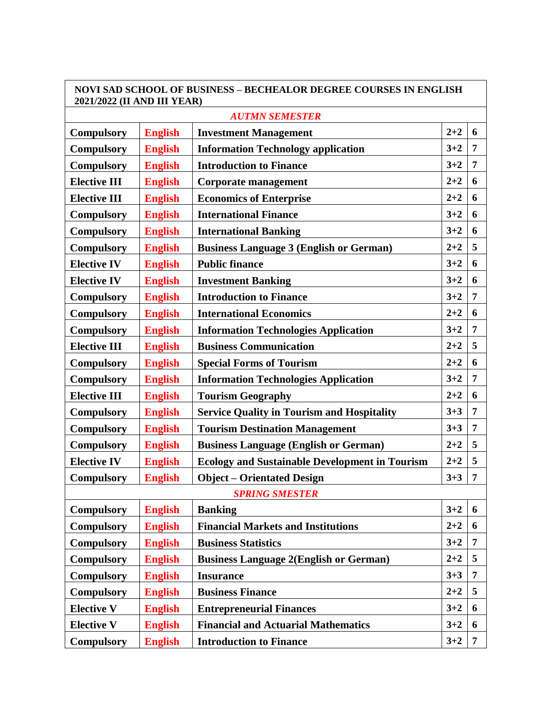| <b>NOVI SAD SCHOOL OF BUSINESS – BECHEALOR DEGREE COURSES IN ENGLISH</b><br>2021/2022 (II AND III YEAR) |                |                                                       |         |                |  |  |  |  |  |
|---------------------------------------------------------------------------------------------------------|----------------|-------------------------------------------------------|---------|----------------|--|--|--|--|--|
| <b>AUTMN SEMESTER</b>                                                                                   |                |                                                       |         |                |  |  |  |  |  |
| <b>Compulsory</b>                                                                                       | <b>English</b> | <b>Investment Management</b>                          | $2 + 2$ | 6              |  |  |  |  |  |
| <b>Compulsory</b>                                                                                       | <b>English</b> | <b>Information Technology application</b>             | $3 + 2$ | 7              |  |  |  |  |  |
| <b>Compulsory</b>                                                                                       | <b>English</b> | <b>Introduction to Finance</b>                        | $3 + 2$ | 7              |  |  |  |  |  |
| <b>Elective III</b>                                                                                     | <b>English</b> | <b>Corporate management</b>                           | $2 + 2$ | 6              |  |  |  |  |  |
| <b>Elective III</b>                                                                                     | <b>English</b> | <b>Economics of Enterprise</b>                        | $2 + 2$ | 6              |  |  |  |  |  |
| <b>Compulsory</b>                                                                                       | <b>English</b> | <b>International Finance</b>                          | $3 + 2$ | 6              |  |  |  |  |  |
| <b>Compulsory</b>                                                                                       | <b>English</b> | <b>International Banking</b>                          | $3 + 2$ | 6              |  |  |  |  |  |
| <b>Compulsory</b>                                                                                       | <b>English</b> | <b>Business Language 3 (English or German)</b>        | $2 + 2$ | 5              |  |  |  |  |  |
| <b>Elective IV</b>                                                                                      | <b>English</b> | <b>Public finance</b>                                 | $3 + 2$ | 6              |  |  |  |  |  |
| <b>Elective IV</b>                                                                                      | <b>English</b> | <b>Investment Banking</b>                             | $3 + 2$ | 6              |  |  |  |  |  |
| <b>Compulsory</b>                                                                                       | <b>English</b> | <b>Introduction to Finance</b>                        | $3 + 2$ | $\overline{7}$ |  |  |  |  |  |
| <b>Compulsory</b>                                                                                       | <b>English</b> | <b>International Economics</b>                        | $2 + 2$ | 6              |  |  |  |  |  |
| <b>Compulsory</b>                                                                                       | <b>English</b> | <b>Information Technologies Application</b>           | $3 + 2$ | 7              |  |  |  |  |  |
| <b>Elective III</b>                                                                                     | <b>English</b> | <b>Business Communication</b>                         | $2 + 2$ | 5              |  |  |  |  |  |
| <b>Compulsory</b>                                                                                       | <b>English</b> | <b>Special Forms of Tourism</b>                       | $2 + 2$ | 6              |  |  |  |  |  |
| <b>Compulsory</b>                                                                                       | <b>English</b> | <b>Information Technologies Application</b>           | $3 + 2$ | $\overline{7}$ |  |  |  |  |  |
| <b>Elective III</b>                                                                                     | <b>English</b> | <b>Tourism Geography</b>                              | $2 + 2$ | 6              |  |  |  |  |  |
| <b>Compulsory</b>                                                                                       | <b>English</b> | <b>Service Quality in Tourism and Hospitality</b>     | $3 + 3$ | 7              |  |  |  |  |  |
| <b>Compulsory</b>                                                                                       | <b>English</b> | <b>Tourism Destination Management</b>                 | $3 + 3$ | 7              |  |  |  |  |  |
| <b>Compulsory</b>                                                                                       | <b>English</b> | <b>Business Language (English or German)</b>          | $2 + 2$ | 5              |  |  |  |  |  |
| <b>Elective IV</b>                                                                                      | <b>English</b> | <b>Ecology and Sustainable Development in Tourism</b> | $2 + 2$ | 5              |  |  |  |  |  |
| <b>Compulsory</b>                                                                                       | <b>English</b> | <b>Object – Orientated Design</b>                     | $3 + 3$ | 7              |  |  |  |  |  |
|                                                                                                         |                | <b>SPRING SMESTER</b>                                 |         |                |  |  |  |  |  |
| <b>Compulsory</b>                                                                                       | <b>English</b> | <b>Banking</b>                                        | $3 + 2$ | 6              |  |  |  |  |  |
| <b>Compulsory</b>                                                                                       | <b>English</b> | <b>Financial Markets and Institutions</b>             | $2 + 2$ | 6              |  |  |  |  |  |
| <b>Compulsory</b>                                                                                       | <b>English</b> | <b>Business Statistics</b>                            | $3 + 2$ | 7              |  |  |  |  |  |
| <b>Compulsory</b>                                                                                       | <b>English</b> | <b>Business Language 2(English or German)</b>         | $2 + 2$ | 5              |  |  |  |  |  |
| <b>Compulsory</b>                                                                                       | <b>English</b> | <b>Insurance</b>                                      | $3 + 3$ | 7              |  |  |  |  |  |
| <b>Compulsory</b>                                                                                       | <b>English</b> | <b>Business Finance</b>                               | $2 + 2$ | 5              |  |  |  |  |  |
| <b>Elective V</b>                                                                                       | <b>English</b> | <b>Entrepreneurial Finances</b>                       | $3 + 2$ | 6              |  |  |  |  |  |
| <b>Elective V</b>                                                                                       | <b>English</b> | <b>Financial and Actuarial Mathematics</b>            | $3 + 2$ | 6              |  |  |  |  |  |
| <b>Compulsory</b>                                                                                       | <b>English</b> | <b>Introduction to Finance</b>                        | $3 + 2$ | $\overline{7}$ |  |  |  |  |  |